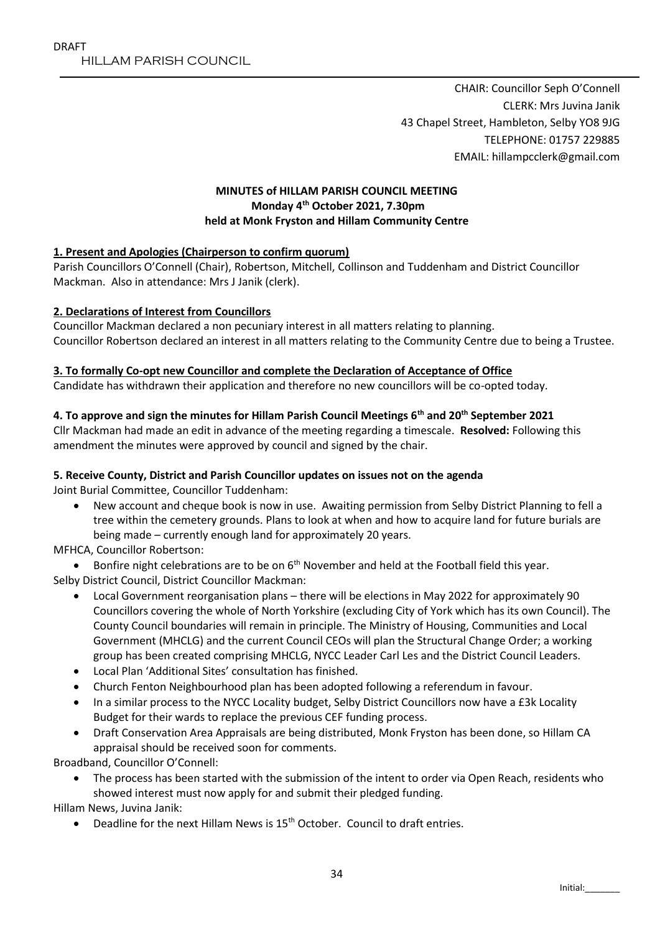CHAIR: Councillor Seph O'Connell CLERK: Mrs Juvina Janik 43 Chapel Street, Hambleton, Selby YO8 9JG TELEPHONE: 01757 229885 EMAIL: hillampcclerk@gmail.com

# **MINUTES of HILLAM PARISH COUNCIL MEETING Monday 4 th October 2021, 7.30pm held at Monk Fryston and Hillam Community Centre**

### **1. Present and Apologies (Chairperson to confirm quorum)**

Parish Councillors O'Connell (Chair), Robertson, Mitchell, Collinson and Tuddenham and District Councillor Mackman. Also in attendance: Mrs J Janik (clerk).

### **2. Declarations of Interest from Councillors**

Councillor Mackman declared a non pecuniary interest in all matters relating to planning. Councillor Robertson declared an interest in all matters relating to the Community Centre due to being a Trustee.

### **3. To formally Co-opt new Councillor and complete the Declaration of Acceptance of Office**

Candidate has withdrawn their application and therefore no new councillors will be co-opted today.

### **4. To approve and sign the minutes for Hillam Parish Council Meetings 6th and 20th September 2021**

Cllr Mackman had made an edit in advance of the meeting regarding a timescale. **Resolved:** Following this amendment the minutes were approved by council and signed by the chair.

### **5. Receive County, District and Parish Councillor updates on issues not on the agenda**

Joint Burial Committee, Councillor Tuddenham:

- New account and cheque book is now in use. Awaiting permission from Selby District Planning to fell a tree within the cemetery grounds. Plans to look at when and how to acquire land for future burials are being made – currently enough land for approximately 20 years.
- MFHCA, Councillor Robertson:

Bonfire night celebrations are to be on 6<sup>th</sup> November and held at the Football field this year.

Selby District Council, District Councillor Mackman:

- Local Government reorganisation plans there will be elections in May 2022 for approximately 90 Councillors covering the whole of North Yorkshire (excluding City of York which has its own Council). The County Council boundaries will remain in principle. The Ministry of Housing, Communities and Local Government (MHCLG) and the current Council CEOs will plan the Structural Change Order; a working group has been created comprising MHCLG, NYCC Leader Carl Les and the District Council Leaders.
- Local Plan 'Additional Sites' consultation has finished.
- Church Fenton Neighbourhood plan has been adopted following a referendum in favour.
- In a similar process to the NYCC Locality budget, Selby District Councillors now have a £3k Locality Budget for their wards to replace the previous CEF funding process.
- Draft Conservation Area Appraisals are being distributed, Monk Fryston has been done, so Hillam CA appraisal should be received soon for comments.

Broadband, Councillor O'Connell:

 The process has been started with the submission of the intent to order via Open Reach, residents who showed interest must now apply for and submit their pledged funding.

Hillam News, Juvina Janik:

• Deadline for the next Hillam News is  $15<sup>th</sup>$  October. Council to draft entries.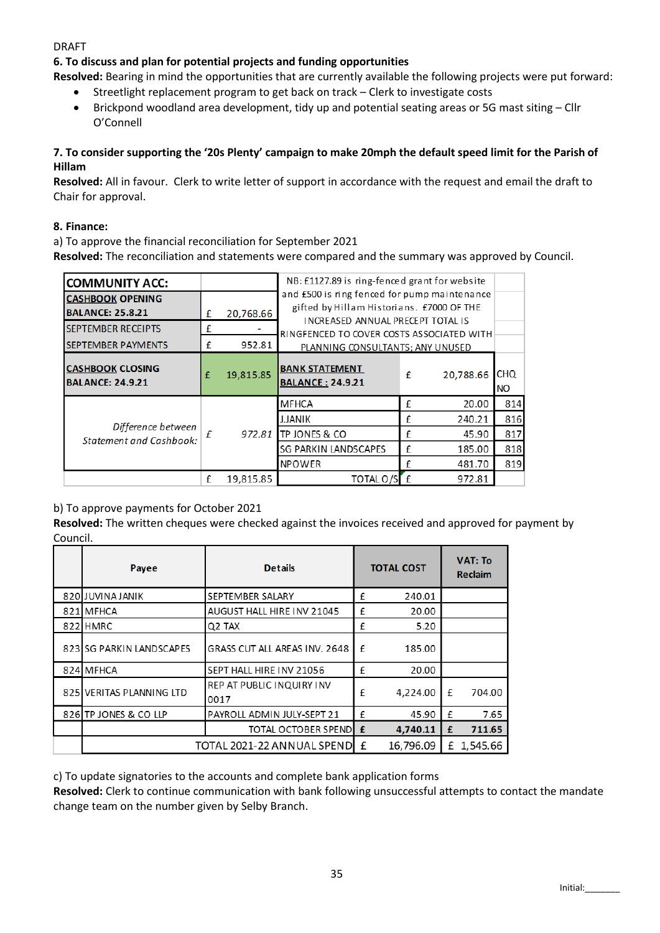#### DRAFT

# **6. To discuss and plan for potential projects and funding opportunities**

**Resolved:** Bearing in mind the opportunities that are currently available the following projects were put forward:

- Streetlight replacement program to get back on track Clerk to investigate costs
- Brickpond woodland area development, tidy up and potential seating areas or 5G mast siting Cllr O'Connell

### **7. To consider supporting the '20s Plenty' campaign to make 20mph the default speed limit for the Parish of Hillam**

**Resolved:** All in favour. Clerk to write letter of support in accordance with the request and email the draft to Chair for approval.

#### **8. Finance:**

a) To approve the financial reconciliation for September 2021

**Resolved:** The reconciliation and statements were compared and the summary was approved by Council.

| <b>COMMUNITY ACC:</b>                                |   |           | NB: £1127.89 is ring-fenced grant for website                                                                                  |   |           |            |  |  |  |  |
|------------------------------------------------------|---|-----------|--------------------------------------------------------------------------------------------------------------------------------|---|-----------|------------|--|--|--|--|
| <b>CASHBOOK OPENING</b><br><b>BALANCE: 25.8.21</b>   | £ | 20,768.66 | and £500 is ring fenced for pump maintenance<br>gifted by Hillam Historians. £7000 OF THE<br>INCREASED ANNUAL PRECEPT TOTAL IS |   |           |            |  |  |  |  |
| <b>SEPTEMBER RECEIPTS</b>                            | £ |           | RINGFENCED TO COVER COSTS ASSOCIATED WITH                                                                                      |   |           |            |  |  |  |  |
| <b>SEPTEMBER PAYMENTS</b>                            | £ | 952.81    | PLANNING CONSULTANTS; ANY UNUSED                                                                                               |   |           |            |  |  |  |  |
| <b>CASHBOOK CLOSING</b><br><b>BALANCE: 24.9.21</b>   | £ | 19,815.85 | <b>BANK STATEMENT</b><br><b>BALANCE: 24.9.21</b>                                                                               | £ | 20.788.66 | CHQ<br>NO. |  |  |  |  |
| Difference between<br><b>Statement and Cashbook:</b> | f | 972.81    | <b>MFHCA</b>                                                                                                                   | £ | 20.00     | 814        |  |  |  |  |
|                                                      |   |           | J.JANIK                                                                                                                        | £ | 240.21    | 816        |  |  |  |  |
|                                                      |   |           | TP JONES & CO                                                                                                                  | £ | 45.90     | 817        |  |  |  |  |
|                                                      |   |           | SG PARKIN LANDSCAPES                                                                                                           | £ | 185.00    | 818        |  |  |  |  |
|                                                      |   |           | <b>NPOWER</b>                                                                                                                  | £ | 481.70    | 819        |  |  |  |  |
|                                                      | £ | 19.815.85 | TOTAL O/S                                                                                                                      | f | 972.81    |            |  |  |  |  |

### b) To approve payments for October 2021

**Resolved:** The written cheques were checked against the invoices received and approved for payment by Council.

|     | Payee                      | <b>Details</b>                    | <b>TOTAL COST</b> |           | <b>VAT: To</b><br>Reclaim |            |
|-----|----------------------------|-----------------------------------|-------------------|-----------|---------------------------|------------|
|     | 820 JUVINA JANIK           | SEPTEMBER SALARY                  | £                 | 240.01    |                           |            |
| 821 | <b>MFHCA</b>               | AUGUST HALL HIRE INV 21045        | £                 | 20.00     |                           |            |
|     | 822 HMRC                   | Q <sub>2</sub> TAX                | £                 | 5.20      |                           |            |
|     | 823 SG PARKIN LANDSCAPES   | GRASS CUT ALL AREAS INV. 2648     | f                 | 185.00    |                           |            |
|     | 824 MFHCA                  | SEPT HALL HIRE INV 21056          | f                 | 20.00     |                           |            |
|     | 825 VERITAS PLANNING LTD   | REP AT PUBLIC INQUIRY INV<br>0017 | f                 | 4,224.00  | f                         | 704.00     |
|     | 826 TP JONES & CO LLP      | PAYROLL ADMIN JULY-SEPT 21        | £                 | 45.90     | f                         | 7.65       |
|     |                            | <b>TOTAL OCTOBER SPEND</b>        | £                 | 4,740.11  | £                         | 711.65     |
|     | TOTAL 2021-22 ANNUAL SPEND |                                   |                   | 16,796.09 |                           | £ 1,545.66 |

c) To update signatories to the accounts and complete bank application forms

**Resolved:** Clerk to continue communication with bank following unsuccessful attempts to contact the mandate change team on the number given by Selby Branch.